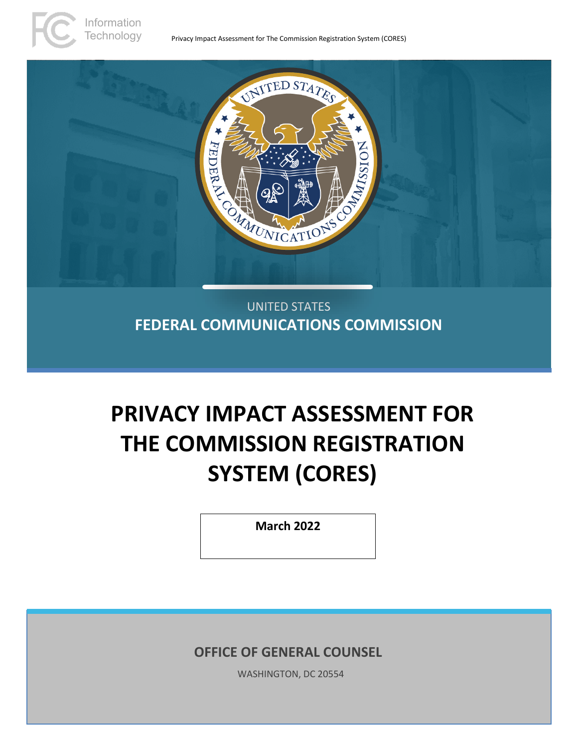

UNITED STATES **FEDERAL COMMUNICATIONS COMMISSION**

# **PRIVACY IMPACT ASSESSMENT FOR THE COMMISSION REGISTRATION SYSTEM (CORES)**

**March 2022**

**OFFICE OF GENERAL COUNSEL**

WASHINGTON, DC 20554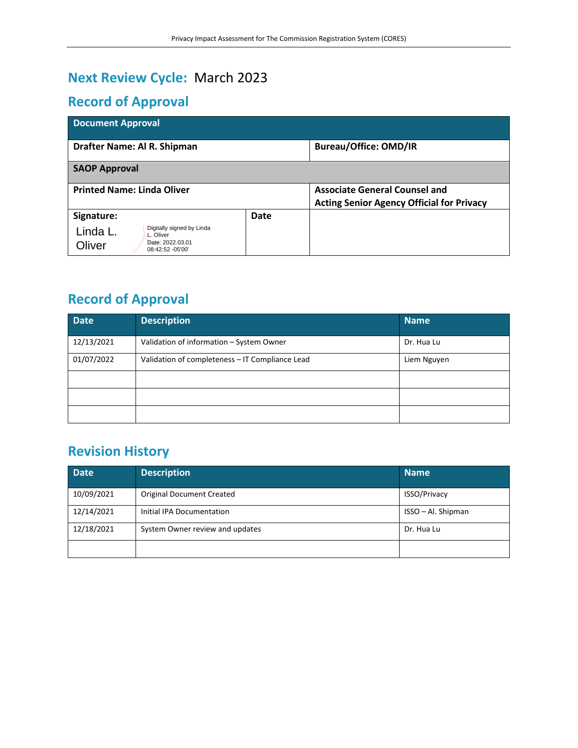# **Next Review Cycle:** March 2023

# **Record of Approval**

| <b>Document Approval</b>                           |      |                                                  |  |  |  |  |  |
|----------------------------------------------------|------|--------------------------------------------------|--|--|--|--|--|
| Drafter Name: Al R. Shipman                        |      | <b>Bureau/Office: OMD/IR</b>                     |  |  |  |  |  |
| <b>SAOP Approval</b>                               |      |                                                  |  |  |  |  |  |
| <b>Printed Name: Linda Oliver</b>                  |      | <b>Associate General Counsel and</b>             |  |  |  |  |  |
|                                                    |      | <b>Acting Senior Agency Official for Privacy</b> |  |  |  |  |  |
| Signature:                                         | Date |                                                  |  |  |  |  |  |
| Digitally signed by Linda<br>Linda L.<br>L. Oliver |      |                                                  |  |  |  |  |  |
| Date: 2022.03.01<br>Oliver<br>08:42:52 - 05'00'    |      |                                                  |  |  |  |  |  |

# **Record of Approval**

| <b>Date</b> | <b>Description</b>                              | <b>Name</b> |
|-------------|-------------------------------------------------|-------------|
| 12/13/2021  | Validation of information - System Owner        | Dr. Hua Lu  |
| 01/07/2022  | Validation of completeness - IT Compliance Lead | Liem Nguyen |
|             |                                                 |             |
|             |                                                 |             |
|             |                                                 |             |

# **Revision History**

| <b>Date</b> | <b>Description</b>               | <b>Name</b>         |
|-------------|----------------------------------|---------------------|
| 10/09/2021  | <b>Original Document Created</b> | <b>ISSO/Privacy</b> |
| 12/14/2021  | Initial IPA Documentation        | ISSO - Al. Shipman  |
| 12/18/2021  | System Owner review and updates  | Dr. Hua Lu          |
|             |                                  |                     |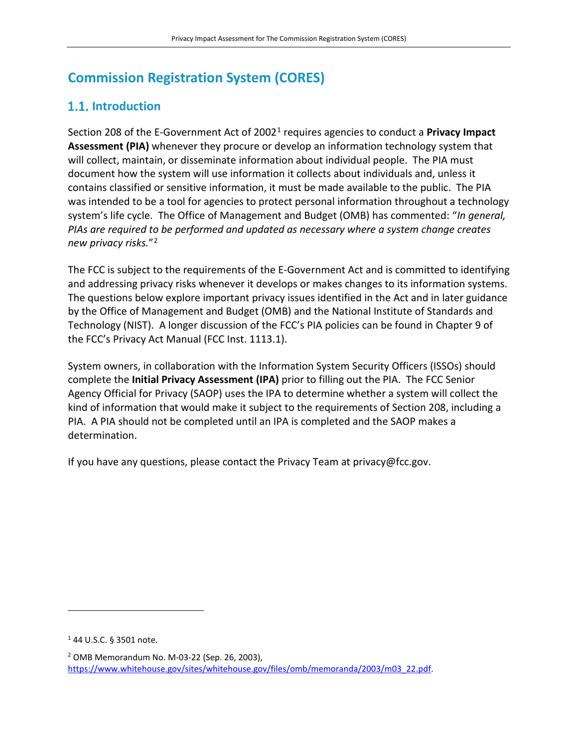# **Commission Registration System (CORES)**

# **1.1.** Introduction

Section 208 of the E-Government Act of 2002[1](#page-2-0) requires agencies to conduct a **Privacy Impact Assessment (PIA)** whenever they procure or develop an information technology system that will collect, maintain, or disseminate information about individual people. The PIA must document how the system will use information it collects about individuals and, unless it contains classified or sensitive information, it must be made available to the public. The PIA was intended to be a tool for agencies to protect personal information throughout a technology system's life cycle. The Office of Management and Budget (OMB) has commented: "*In general, PIAs are required to be performed and updated as necessary where a system change creates new privacy risks.*"[2](#page-2-1)

The FCC is subject to the requirements of the E-Government Act and is committed to identifying and addressing privacy risks whenever it develops or makes changes to its information systems. The questions below explore important privacy issues identified in the Act and in later guidance by the Office of Management and Budget (OMB) and the National Institute of Standards and Technology (NIST). A longer discussion of the FCC's PIA policies can be found in Chapter 9 of the FCC's Privacy Act Manual (FCC Inst. 1113.1).

System owners, in collaboration with the Information System Security Officers (ISSOs) should complete the **Initial Privacy Assessment (IPA)** prior to filling out the PIA. The FCC Senior Agency Official for Privacy (SAOP) uses the IPA to determine whether a system will collect the kind of information that would make it subject to the requirements of Section 208, including a PIA. A PIA should not be completed until an IPA is completed and the SAOP makes a determination.

If you have any questions, please contact the Privacy Team at privacy@fcc.gov.

<span id="page-2-0"></span><sup>1</sup> 44 U.S.C. § 3501 note.

<span id="page-2-1"></span><sup>2</sup> OMB Memorandum No. M-03-22 (Sep. 26, 2003), [https://www.whitehouse.gov/sites/whitehouse.gov/files/omb/memoranda/2003/m03\\_22.pdf.](https://www.whitehouse.gov/sites/whitehouse.gov/files/omb/memoranda/2003/m03_22.pdf)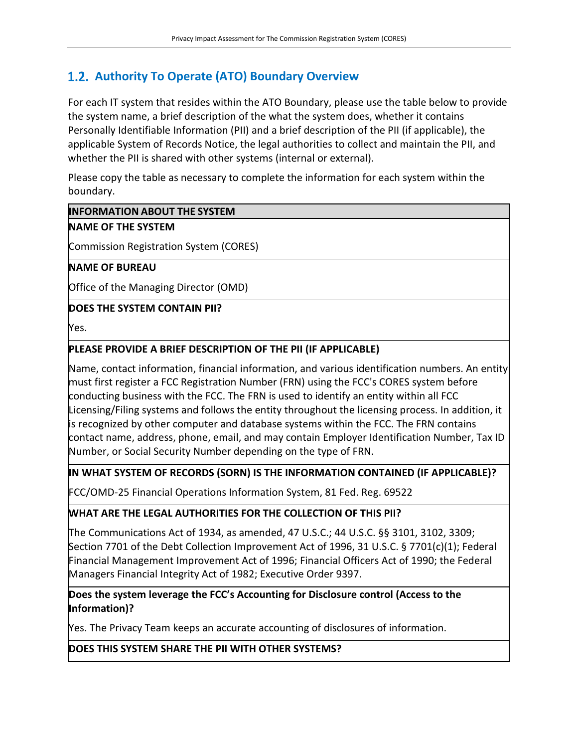# **Authority To Operate (ATO) Boundary Overview**

For each IT system that resides within the ATO Boundary, please use the table below to provide the system name, a brief description of the what the system does, whether it contains Personally Identifiable Information (PII) and a brief description of the PII (if applicable), the applicable System of Records Notice, the legal authorities to collect and maintain the PII, and whether the PII is shared with other systems (internal or external).

Please copy the table as necessary to complete the information for each system within the boundary.

#### **INFORMATION ABOUT THE SYSTEM**

#### **NAME OF THE SYSTEM**

Commission Registration System (CORES)

#### **NAME OF BUREAU**

Office of the Managing Director (OMD)

#### **DOES THE SYSTEM CONTAIN PII?**

Yes.

#### **PLEASE PROVIDE A BRIEF DESCRIPTION OF THE PII (IF APPLICABLE)**

Name, contact information, financial information, and various identification numbers. An entity must first register a FCC Registration Number (FRN) using the FCC's CORES system before conducting business with the FCC. The FRN is used to identify an entity within all FCC Licensing/Filing systems and follows the entity throughout the licensing process. In addition, it is recognized by other computer and database systems within the FCC. The FRN contains contact name, address, phone, email, and may contain Employer Identification Number, Tax ID Number, or Social Security Number depending on the type of FRN.

#### **IN WHAT SYSTEM OF RECORDS (SORN) IS THE INFORMATION CONTAINED (IF APPLICABLE)?**

FCC/OMD-25 Financial Operations Information System, 81 Fed. Reg. 69522

#### **WHAT ARE THE LEGAL AUTHORITIES FOR THE COLLECTION OF THIS PII?**

The Communications Act of 1934, as amended, 47 U.S.C.; 44 U.S.C. §§ 3101, 3102, 3309; Section 7701 of the Debt Collection Improvement Act of 1996, 31 U.S.C. § 7701(c)(1); Federal Financial Management Improvement Act of 1996; Financial Officers Act of 1990; the Federal Managers Financial Integrity Act of 1982; Executive Order 9397.

#### **Does the system leverage the FCC's Accounting for Disclosure control (Access to the Information)?**

Yes. The Privacy Team keeps an accurate accounting of disclosures of information.

**DOES THIS SYSTEM SHARE THE PII WITH OTHER SYSTEMS?**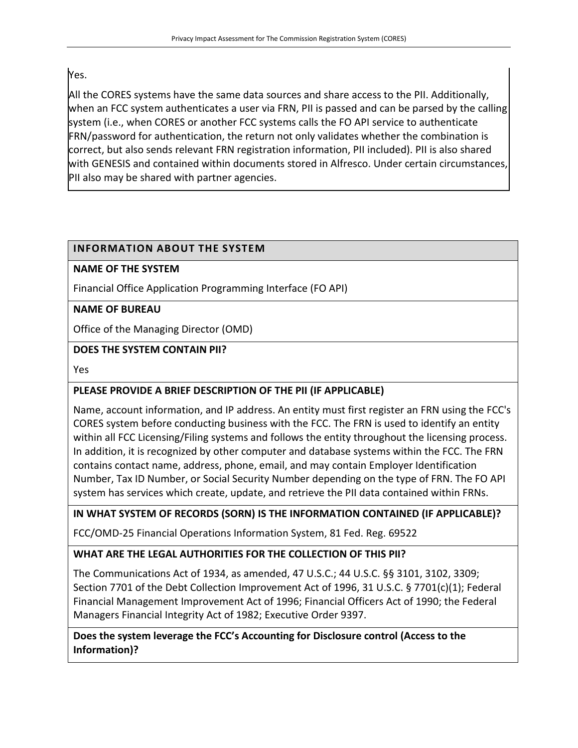# Yes.

All the CORES systems have the same data sources and share access to the PII. Additionally, when an FCC system authenticates a user via FRN, PII is passed and can be parsed by the calling system (i.e., when CORES or another FCC systems calls the FO API service to authenticate FRN/password for authentication, the return not only validates whether the combination is correct, but also sends relevant FRN registration information, PII included). PII is also shared with GENESIS and contained within documents stored in Alfresco. Under certain circumstances, PII also may be shared with partner agencies.

# **INFORMATION ABOUT THE SYSTEM**

#### **NAME OF THE SYSTEM**

Financial Office Application Programming Interface (FO API)

#### **NAME OF BUREAU**

Office of the Managing Director (OMD)

#### **DOES THE SYSTEM CONTAIN PII?**

Yes

# **PLEASE PROVIDE A BRIEF DESCRIPTION OF THE PII (IF APPLICABLE)**

Name, account information, and IP address. An entity must first register an FRN using the FCC's CORES system before conducting business with the FCC. The FRN is used to identify an entity within all FCC Licensing/Filing systems and follows the entity throughout the licensing process. In addition, it is recognized by other computer and database systems within the FCC. The FRN contains contact name, address, phone, email, and may contain Employer Identification Number, Tax ID Number, or Social Security Number depending on the type of FRN. The FO API system has services which create, update, and retrieve the PII data contained within FRNs.

# **IN WHAT SYSTEM OF RECORDS (SORN) IS THE INFORMATION CONTAINED (IF APPLICABLE)?**

FCC/OMD-25 Financial Operations Information System, 81 Fed. Reg. 69522

# **WHAT ARE THE LEGAL AUTHORITIES FOR THE COLLECTION OF THIS PII?**

The Communications Act of 1934, as amended, 47 U.S.C.; 44 U.S.C. §§ 3101, 3102, 3309; Section 7701 of the Debt Collection Improvement Act of 1996, 31 U.S.C. § 7701(c)(1); Federal Financial Management Improvement Act of 1996; Financial Officers Act of 1990; the Federal Managers Financial Integrity Act of 1982; Executive Order 9397.

**Does the system leverage the FCC's Accounting for Disclosure control (Access to the Information)?**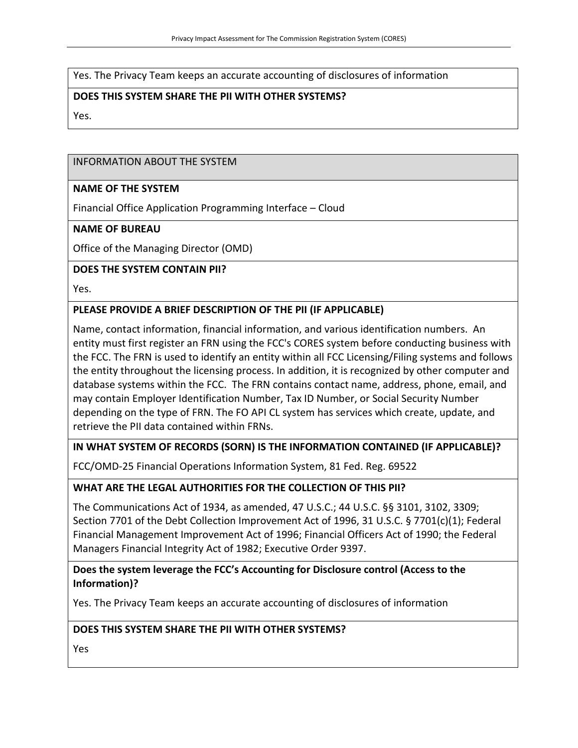Yes. The Privacy Team keeps an accurate accounting of disclosures of information

#### **DOES THIS SYSTEM SHARE THE PII WITH OTHER SYSTEMS?**

Yes.

#### INFORMATION ABOUT THE SYSTEM

#### **NAME OF THE SYSTEM**

Financial Office Application Programming Interface – Cloud

#### **NAME OF BUREAU**

Office of the Managing Director (OMD)

#### **DOES THE SYSTEM CONTAIN PII?**

Yes.

#### **PLEASE PROVIDE A BRIEF DESCRIPTION OF THE PII (IF APPLICABLE)**

Name, contact information, financial information, and various identification numbers. An entity must first register an FRN using the FCC's CORES system before conducting business with the FCC. The FRN is used to identify an entity within all FCC Licensing/Filing systems and follows the entity throughout the licensing process. In addition, it is recognized by other computer and database systems within the FCC. The FRN contains contact name, address, phone, email, and may contain Employer Identification Number, Tax ID Number, or Social Security Number depending on the type of FRN. The FO API CL system has services which create, update, and retrieve the PII data contained within FRNs.

#### **IN WHAT SYSTEM OF RECORDS (SORN) IS THE INFORMATION CONTAINED (IF APPLICABLE)?**

FCC/OMD-25 Financial Operations Information System, 81 Fed. Reg. 69522

#### **WHAT ARE THE LEGAL AUTHORITIES FOR THE COLLECTION OF THIS PII?**

The Communications Act of 1934, as amended, 47 U.S.C.; 44 U.S.C. §§ 3101, 3102, 3309; Section 7701 of the Debt Collection Improvement Act of 1996, 31 U.S.C. § 7701(c)(1); Federal Financial Management Improvement Act of 1996; Financial Officers Act of 1990; the Federal Managers Financial Integrity Act of 1982; Executive Order 9397.

#### **Does the system leverage the FCC's Accounting for Disclosure control (Access to the Information)?**

Yes. The Privacy Team keeps an accurate accounting of disclosures of information

#### **DOES THIS SYSTEM SHARE THE PII WITH OTHER SYSTEMS?**

Yes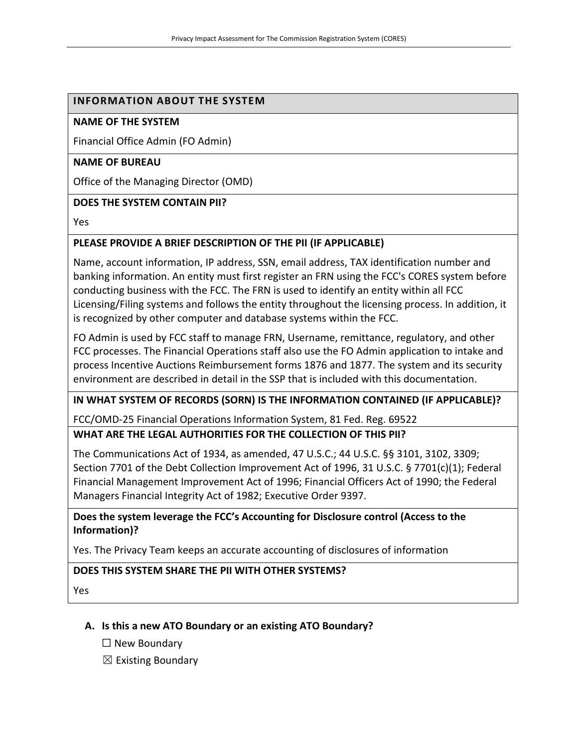#### **INFORMATION ABOUT THE SYSTEM**

#### **NAME OF THE SYSTEM**

Financial Office Admin (FO Admin)

#### **NAME OF BUREAU**

Office of the Managing Director (OMD)

#### **DOES THE SYSTEM CONTAIN PII?**

Yes

#### **PLEASE PROVIDE A BRIEF DESCRIPTION OF THE PII (IF APPLICABLE)**

Name, account information, IP address, SSN, email address, TAX identification number and banking information. An entity must first register an FRN using the FCC's CORES system before conducting business with the FCC. The FRN is used to identify an entity within all FCC Licensing/Filing systems and follows the entity throughout the licensing process. In addition, it is recognized by other computer and database systems within the FCC.

FO Admin is used by FCC staff to manage FRN, Username, remittance, regulatory, and other FCC processes. The Financial Operations staff also use the FO Admin application to intake and process Incentive Auctions Reimbursement forms 1876 and 1877. The system and its security environment are described in detail in the SSP that is included with this documentation.

**IN WHAT SYSTEM OF RECORDS (SORN) IS THE INFORMATION CONTAINED (IF APPLICABLE)?**

FCC/OMD-25 Financial Operations Information System, 81 Fed. Reg. 69522

#### **WHAT ARE THE LEGAL AUTHORITIES FOR THE COLLECTION OF THIS PII?**

The Communications Act of 1934, as amended, 47 U.S.C.; 44 U.S.C. §§ 3101, 3102, 3309; Section 7701 of the Debt Collection Improvement Act of 1996, 31 U.S.C. § 7701(c)(1); Federal Financial Management Improvement Act of 1996; Financial Officers Act of 1990; the Federal Managers Financial Integrity Act of 1982; Executive Order 9397.

#### **Does the system leverage the FCC's Accounting for Disclosure control (Access to the Information)?**

Yes. The Privacy Team keeps an accurate accounting of disclosures of information

#### **DOES THIS SYSTEM SHARE THE PII WITH OTHER SYSTEMS?**

Yes

#### **A. Is this a new ATO Boundary or an existing ATO Boundary?**

- ☐ New Boundary
- $\boxtimes$  Existing Boundary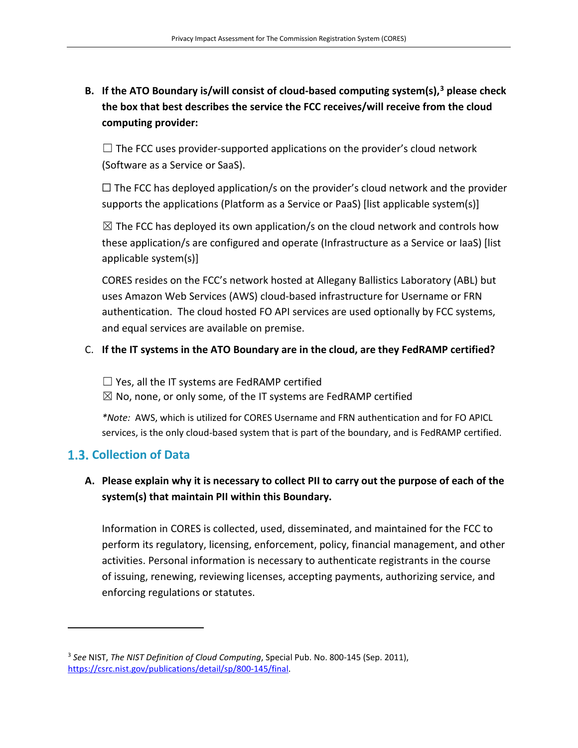# **B. If the ATO Boundary is/will consist of cloud-based computing system(s), [3](#page-7-0) please check the box that best describes the service the FCC receives/will receive from the cloud computing provider:**

 $\Box$  The FCC uses provider-supported applications on the provider's cloud network (Software as a Service or SaaS).

 $\Box$  The FCC has deployed application/s on the provider's cloud network and the provider supports the applications (Platform as a Service or PaaS) [list applicable system(s)]

 $\boxtimes$  The FCC has deployed its own application/s on the cloud network and controls how these application/s are configured and operate (Infrastructure as a Service or IaaS) [list applicable system(s)]

CORES resides on the FCC's network hosted at Allegany Ballistics Laboratory (ABL) but uses Amazon Web Services (AWS) cloud-based infrastructure for Username or FRN authentication. The cloud hosted FO API services are used optionally by FCC systems, and equal services are available on premise.

#### C. **If the IT systems in the ATO Boundary are in the cloud, are they FedRAMP certified?**

 $\Box$  Yes, all the IT systems are FedRAMP certified

 $\boxtimes$  No, none, or only some, of the IT systems are FedRAMP certified

*\*Note:* AWS, which is utilized for CORES Username and FRN authentication and for FO APICL services, is the only cloud-based system that is part of the boundary, and is FedRAMP certified.

# **Collection of Data**

# **A. Please explain why it is necessary to collect PII to carry out the purpose of each of the system(s) that maintain PII within this Boundary.**

Information in CORES is collected, used, disseminated, and maintained for the FCC to perform its regulatory, licensing, enforcement, policy, financial management, and other activities. Personal information is necessary to authenticate registrants in the course of issuing, renewing, reviewing licenses, accepting payments, authorizing service, and enforcing regulations or statutes.

<span id="page-7-0"></span><sup>3</sup> *See* NIST, *The NIST Definition of Cloud Computing*, Special Pub. No. 800-145 (Sep. 2011), [https://csrc.nist.gov/publications/detail/sp/800-145/final.](https://csrc.nist.gov/publications/detail/sp/800-145/final)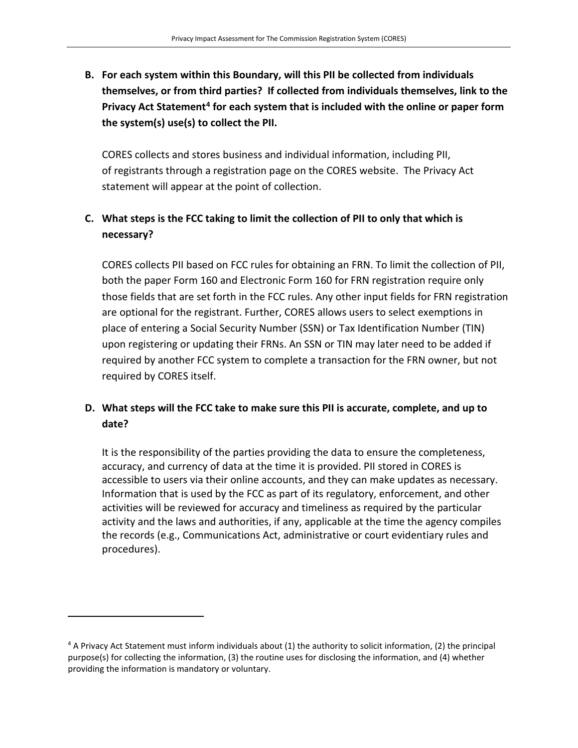**B. For each system within this Boundary, will this PII be collected from individuals themselves, or from third parties? If collected from individuals themselves, link to the Privacy Act Statement[4](#page-8-0) for each system that is included with the online or paper form the system(s) use(s) to collect the PII.** 

CORES collects and stores business and individual information, including PII, of registrants through a registration page on the CORES website. The Privacy Act statement will appear at the point of collection.

# **C. What steps is the FCC taking to limit the collection of PII to only that which is necessary?**

CORES collects PII based on FCC rules for obtaining an FRN. To limit the collection of PII, both the paper Form 160 and Electronic Form 160 for FRN registration require only those fields that are set forth in the FCC rules. Any other input fields for FRN registration are optional for the registrant. Further, CORES allows users to select exemptions in place of entering a Social Security Number (SSN) or Tax Identification Number (TIN) upon registering or updating their FRNs. An SSN or TIN may later need to be added if required by another FCC system to complete a transaction for the FRN owner, but not required by CORES itself.

# **D. What steps will the FCC take to make sure this PII is accurate, complete, and up to date?**

It is the responsibility of the parties providing the data to ensure the completeness, accuracy, and currency of data at the time it is provided. PII stored in CORES is accessible to users via their online accounts, and they can make updates as necessary. Information that is used by the FCC as part of its regulatory, enforcement, and other activities will be reviewed for accuracy and timeliness as required by the particular activity and the laws and authorities, if any, applicable at the time the agency compiles the records (e.g., Communications Act, administrative or court evidentiary rules and procedures).

<span id="page-8-0"></span><sup>4</sup> A Privacy Act Statement must inform individuals about (1) the authority to solicit information, (2) the principal purpose(s) for collecting the information, (3) the routine uses for disclosing the information, and (4) whether providing the information is mandatory or voluntary.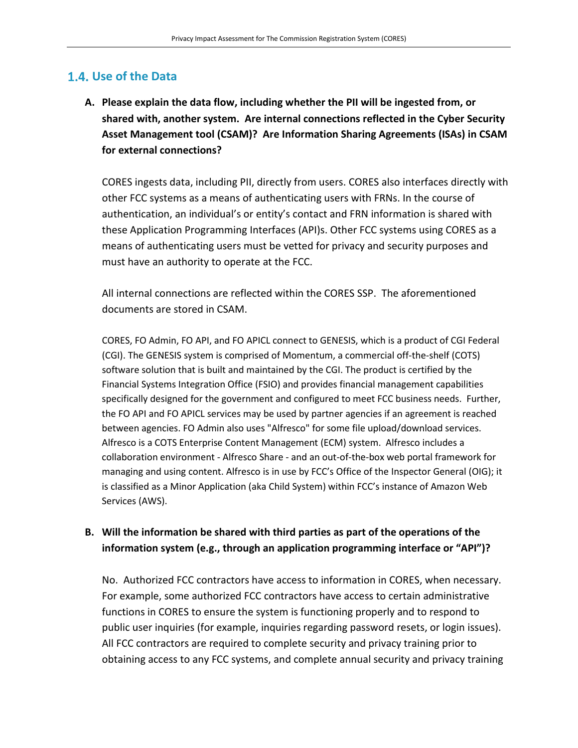### **Use of the Data**

**A. Please explain the data flow, including whether the PII will be ingested from, or shared with, another system. Are internal connections reflected in the Cyber Security Asset Management tool (CSAM)? Are Information Sharing Agreements (ISAs) in CSAM for external connections?**

CORES ingests data, including PII, directly from users. CORES also interfaces directly with other FCC systems as a means of authenticating users with FRNs. In the course of authentication, an individual's or entity's contact and FRN information is shared with these Application Programming Interfaces (API)s. Other FCC systems using CORES as a means of authenticating users must be vetted for privacy and security purposes and must have an authority to operate at the FCC.

All internal connections are reflected within the CORES SSP. The aforementioned documents are stored in CSAM.

CORES, FO Admin, FO API, and FO APICL connect to GENESIS, which is a product of CGI Federal (CGI). The GENESIS system is comprised of Momentum, a commercial off-the-shelf (COTS) software solution that is built and maintained by the CGI. The product is certified by the Financial Systems Integration Office (FSIO) and provides financial management capabilities specifically designed for the government and configured to meet FCC business needs. Further, the FO API and FO APICL services may be used by partner agencies if an agreement is reached between agencies. FO Admin also uses "Alfresco" for some file upload/download services. Alfresco is a COTS Enterprise Content Management (ECM) system. Alfresco includes a collaboration environment - Alfresco Share - and an out-of-the-box web portal framework for managing and using content. Alfresco is in use by FCC's Office of the Inspector General (OIG); it is classified as a Minor Application (aka Child System) within FCC's instance of Amazon Web Services (AWS).

### **B. Will the information be shared with third parties as part of the operations of the information system (e.g., through an application programming interface or "API")?**

No. Authorized FCC contractors have access to information in CORES, when necessary. For example, some authorized FCC contractors have access to certain administrative functions in CORES to ensure the system is functioning properly and to respond to public user inquiries (for example, inquiries regarding password resets, or login issues). All FCC contractors are required to complete security and privacy training prior to obtaining access to any FCC systems, and complete annual security and privacy training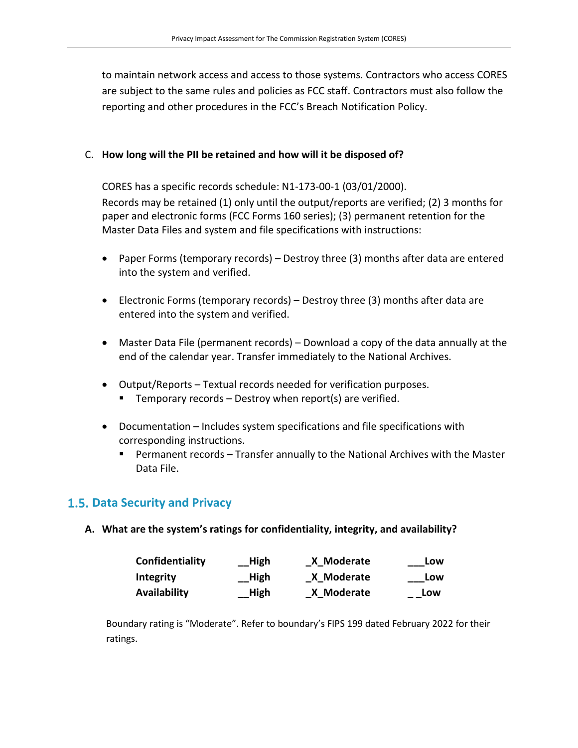to maintain network access and access to those systems. Contractors who access CORES are subject to the same rules and policies as FCC staff. Contractors must also follow the reporting and other procedures in the FCC's Breach Notification Policy.

#### C. **How long will the PII be retained and how will it be disposed of?**

CORES has a specific records schedule: N1-173-00-1 (03/01/2000).

Records may be retained (1) only until the output/reports are verified; (2) 3 months for paper and electronic forms (FCC Forms 160 series); (3) permanent retention for the Master Data Files and system and file specifications with instructions:

- Paper Forms (temporary records) Destroy three (3) months after data are entered into the system and verified.
- Electronic Forms (temporary records) Destroy three (3) months after data are entered into the system and verified.
- Master Data File (permanent records) Download a copy of the data annually at the end of the calendar year. Transfer immediately to the National Archives.
- Output/Reports Textual records needed for verification purposes.
	- **Temporary records Destroy when report(s) are verified.**
- Documentation Includes system specifications and file specifications with corresponding instructions.
	- Permanent records Transfer annually to the National Archives with the Master Data File.

# **Data Security and Privacy**

**A. What are the system's ratings for confidentiality, integrity, and availability?**

| Confidentiality  | High                  | X Moderate | Low |
|------------------|-----------------------|------------|-----|
| <b>Integrity</b> | High                  | X Moderate | Low |
| Availability     | $\_\blacksquare$ High | X Moderate | Low |

Boundary rating is "Moderate". Refer to boundary's FIPS 199 dated February 2022 for their ratings.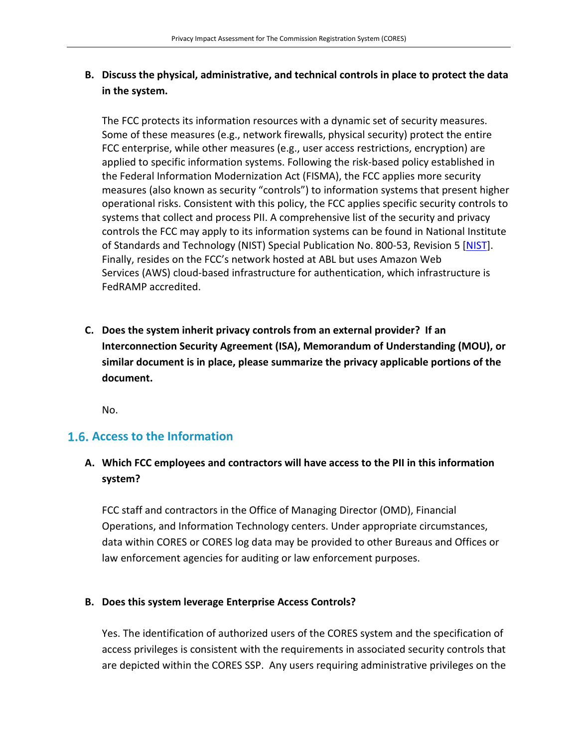# **B. Discuss the physical, administrative, and technical controls in place to protect the data in the system.**

The FCC protects its information resources with a dynamic set of security measures. Some of these measures (e.g., network firewalls, physical security) protect the entire FCC enterprise, while other measures (e.g., user access restrictions, encryption) are applied to specific information systems. Following the risk-based policy established in the Federal Information Modernization Act (FISMA), the FCC applies more security measures (also known as security "controls") to information systems that present higher operational risks. Consistent with this policy, the FCC applies specific security controls to systems that collect and process PII. A comprehensive list of the security and privacy controls the FCC may apply to its information systems can be found in National Institute of Standards and Technology (NIST) Special Publication No. 800-53, Revision 5 [\[NIST\]](https://nvlpubs.nist.gov/nistpubs/SpecialPublications/NIST.SP.800-53r5.pdf). Finally, resides on the FCC's network hosted at ABL but uses Amazon Web Services (AWS) cloud-based infrastructure for authentication, which infrastructure is FedRAMP accredited.

**C. Does the system inherit privacy controls from an external provider? If an Interconnection Security Agreement (ISA), Memorandum of Understanding (MOU), or similar document is in place, please summarize the privacy applicable portions of the document.** 

No.

# **Access to the Information**

# **A. Which FCC employees and contractors will have access to the PII in this information system?**

FCC staff and contractors in the Office of Managing Director (OMD), Financial Operations, and Information Technology centers. Under appropriate circumstances, data within CORES or CORES log data may be provided to other Bureaus and Offices or law enforcement agencies for auditing or law enforcement purposes.

#### **B. Does this system leverage Enterprise Access Controls?**

Yes. The identification of authorized users of the CORES system and the specification of access privileges is consistent with the requirements in associated security controls that are depicted within the CORES SSP. Any users requiring administrative privileges on the